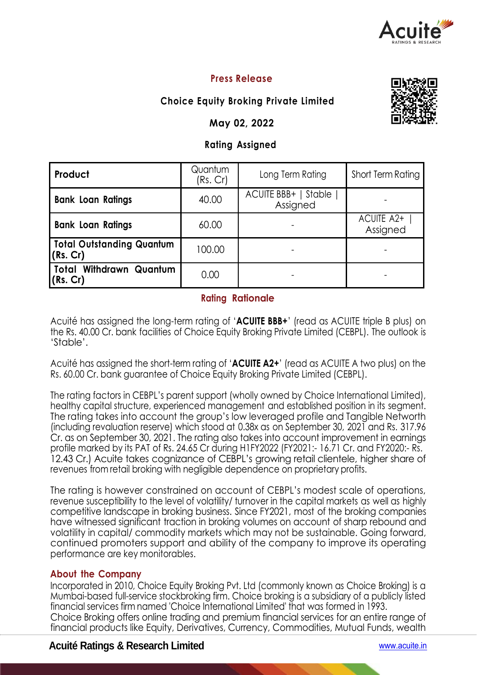

# **Press Release**

# **Choice Equity Broking Private Limited**

## **May 02, 2022**

## **Rating Assigned**

| Product                                      | Quantum<br>(Rs. Cr) | Long Term Rating                   | Short Term Rating      |  |
|----------------------------------------------|---------------------|------------------------------------|------------------------|--|
| <b>Bank Loan Ratings</b>                     | 40.00               | ACUITE BBB+   Stable  <br>Assigned |                        |  |
| <b>Bank Loan Ratings</b>                     | 60.00               |                                    | ACUITE A2+<br>Assigned |  |
| <b>Total Outstanding Quantum</b><br>(Rs. Cr) | 100.00              |                                    |                        |  |
| Total Withdrawn Quantum<br>(Rs. Cr)          | 0.00                |                                    |                        |  |

## **Rating Rationale**

Acuité has assigned the long-term rating of '**ACUITE BBB+**' (read as ACUITE triple B plus) on the Rs. 40.00 Cr. bank facilities of Choice Equity Broking Private Limited (CEBPL). The outlook is 'Stable'.

Acuité has assigned the short-term rating of '**ACUITE A2+**' (read as ACUITE A two plus) on the Rs. 60.00 Cr. bank guarantee of Choice Equity Broking Private Limited (CEBPL).

The rating factors in CEBPL's parent support (wholly owned by Choice International Limited), healthy capital structure, experienced management and established position in its segment. The rating takes into account the group's low leveraged profile and Tangible Networth (including revaluation reserve) which stood at 0.38x as on September 30, 2021 and Rs. 317.96 Cr. as on September 30, 2021. The rating also takes into account improvement in earnings profile marked by its PAT of Rs. 24.65 Cr during H1FY2022 (FY2021:- 16.71 Cr. and FY2020:- Rs. 12.43 Cr.) Acuite takes cognizance of CEBPL's growing retail clientele, higher share of revenues from retail broking with negligible dependence on proprietary profits.

The rating is however constrained on account of CEBPL's modest scale of operations, revenue susceptibility to the level of volatility/ turnover in the capital markets as well as highly competitive landscape in broking business. Since FY2021, most of the broking companies have witnessed significant traction in broking volumes on account of sharp rebound and volatility in capital/ commodity markets which may not be sustainable. Going forward, continued promoters support and ability of the company to improve its operating performance are key monitorables.

## **About the Company**

Incorporated in 2010, Choice Equity Broking Pvt. Ltd (commonly known as Choice Broking) is a Mumbai-based full-service stockbroking firm. Choice broking is a subsidiary of a publicly listed financial services firm named 'Choice International Limited' that was formed in 1993. Choice Broking offers online trading and premium financial services for an entire range of financial products like Equity, Derivatives, Currency, Commodities, Mutual Funds, wealth

# **Acuité Ratings & Research Limited** www.acuite.in



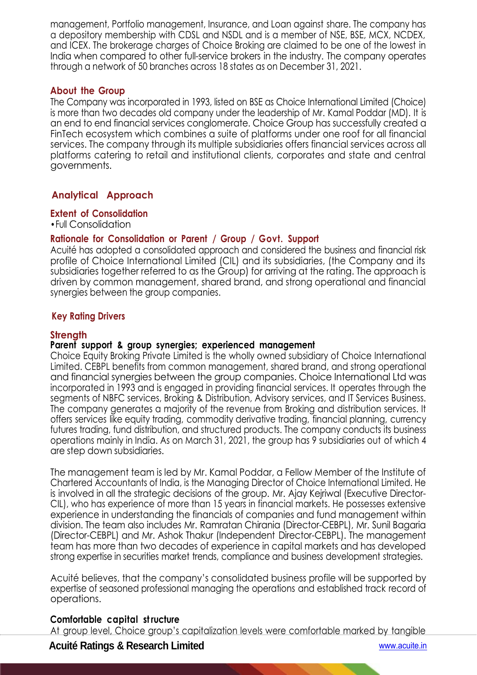management, Portfolio management, Insurance, and Loan against share. The company has a depository membership with CDSL and NSDL and is a member of NSE, BSE, MCX, NCDEX, and ICEX. The brokerage charges of Choice Broking are claimed to be one of the lowest in India when compared to other full-service brokers in the industry. The company operates through a network of 50 branches across 18 states as on December 31, 2021.

#### **About the Group**

The Company was incorporated in 1993, listed on BSE as Choice International Limited (Choice) is more than two decades old company under the leadership of Mr. Kamal Poddar (MD). It is an end to end financial services conglomerate. Choice Group has successfully created a FinTech ecosystem which combines a suite of platforms under one roof for all financial services. The company through its multiple subsidiaries offers financial services across all platforms catering to retail and institutional clients, corporates and state and central governments.

# **Analytical Approach**

**Extent of Consolidation**

•Full Consolidation

## **Rationale for Consolidation or Parent / Group / Govt. Support**

Acuité has adopted a consolidated approach and considered the business and financial risk profile of Choice International Limited (CIL) and its subsidiaries, (the Company and its subsidiaries together referred to as the Group) for arriving at the rating. The approach is driven by common management, shared brand, and strong operational and financial synergies between the group companies.

#### **Key Rating Drivers**

#### **Strength**

#### **Parent support & group synergies; experienced management**

Choice Equity Broking Private Limited is the wholly owned subsidiary of Choice International Limited. CEBPL benefits from common management, shared brand, and strong operational and financial synergies between the group companies. Choice International Ltd was incorporated in 1993 and is engaged in providing financial services. It operates through the segments of NBFC services, Broking & Distribution, Advisory services, and IT Services Business. The company generates a majority of the revenue from Broking and distribution services. It offers services like equity trading, commodity derivative trading, financial planning, currency futures trading, fund distribution, and structured products. The company conducts its business operations mainly in India. As on March 31, 2021, the group has 9 subsidiaries out of which 4 are step down subsidiaries.

The management team is led by Mr. Kamal Poddar, a Fellow Member of the Institute of Chartered Accountants of India, is the Managing Director of Choice International Limited. He is involved in all the strategic decisions of the group. Mr. Ajay Kejriwal (Executive Director-CIL), who has experience of more than 15 years in financial markets. He possesses extensive experience in understanding the financials of companies and fund management within division. The team also includes Mr. Ramratan Chirania (Director-CEBPL), Mr. Sunil Bagaria (Director-CEBPL) and Mr. Ashok Thakur (Independent Director-CEBPL). The management team has more than two decades of experience in capital markets and has developed strong expertise in securities market trends, compliance and business development strategies.

Acuité believes, that the company's consolidated business profile will be supported by expertise of seasoned professional managing the operations and established track record of operations.

#### **Comfortable capital st ructure**

At group level, Choice group's capitalization levels were comfortable marked by tangible

## **Acuité Ratings & Research Limited** www.acuite.in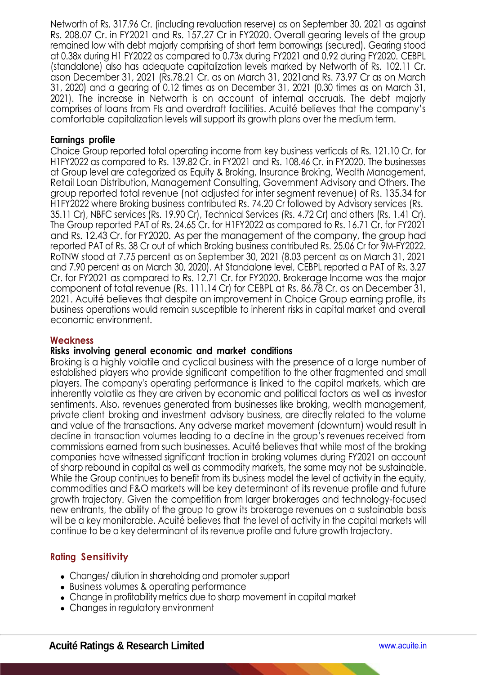Networth of Rs. 317.96 Cr. (including revaluation reserve) as on September 30, 2021 as against Rs. 208.07 Cr. in FY2021 and Rs. 157.27 Cr in FY2020. Overall gearing levels of the group remained low with debt majorly comprising of short term borrowings (secured). Gearing stood at 0.38x during H1 FY2022 as compared to 0.73x during FY2021 and 0.92 during FY2020. CEBPL (standalone) also has adequate capitalization levels marked by Networth of Rs. 102.11 Cr. ason December 31, 2021 (Rs.78.21 Cr. as on March 31, 2021and Rs. 73.97 Cr as on March 31, 2020) and a gearing of 0.12 times as on December 31, 2021 (0.30 times as on March 31, 2021). The increase in Networth is on account of internal accruals. The debt majorly comprises of loans from FIs and overdraft facilities. Acuité believes that the company's comfortable capitalization levels will support its growth plans over the medium term.

#### **Earnings profile**

Choice Group reported total operating income from key business verticals of Rs. 121.10 Cr. for H1FY2022 as compared to Rs. 139.82 Cr. in FY2021 and Rs. 108.46 Cr. in FY2020. The businesses at Group level are categorized as Equity & Broking, Insurance Broking, Wealth Management, Retail Loan Distribution, Management Consulting, Government Advisory and Others. The group reported total revenue (not adjusted for inter segment revenue) of Rs. 135.34 for H1FY2022 where Broking business contributed Rs. 74.20 Cr followed by Advisory services (Rs. 35.11 Cr), NBFC services (Rs. 19.90 Cr), Technical Services (Rs. 4.72 Cr) and others (Rs. 1.41 Cr). The Group reported PAT of Rs. 24.65 Cr. for H1FY2022 as compared to Rs. 16.71 Cr. for FY2021 and Rs. 12.43 Cr. for FY2020. As per the management of the company, the group had reported PAT of Rs. 38 Cr out of which Broking business contributed Rs. 25.06 Cr for 9M-FY2022. RoTNW stood at 7.75 percent as on September 30, 2021 (8.03 percent as on March 31, 2021 and 7.90 percent as on March 30, 2020). At Standalone level, CEBPL reported a PAT of Rs. 3.27 Cr. for FY2021 as compared to Rs. 12.71 Cr. for FY2020. Brokerage Income was the major component of total revenue (Rs. 111.14 Cr) for CEBPL at Rs. 86.78 Cr. as on December 31, 2021. Acuité believes that despite an improvement in Choice Group earning profile, its business operations would remain susceptible to inherent risks in capital market and overall economic environment.

#### **Weakness**

#### **Risks involving general economic and market conditions**

Broking is a highly volatile and cyclical business with the presence of a large number of established players who provide significant competition to the other fragmented and small players. The company's operating performance is linked to the capital markets, which are inherently volatile as they are driven by economic and political factors as well as investor sentiments. Also, revenues generated from businesses like broking, wealth management, private client broking and investment advisory business, are directly related to the volume and value of the transactions. Any adverse market movement (downturn) would result in decline in transaction volumes leading to a decline in the group's revenues received from commissions earned from such businesses. Acuité believes that while most of the broking companies have witnessed significant traction in broking volumes during FY2021 on account of sharp rebound in capital as well as commodity markets, the same may not be sustainable. While the Group continues to benefit from its business model the level of activity in the equity, commodities and F&O markets will be key determinant of its revenue profile and future growth trajectory. Given the competition from larger brokerages and technology-focused new entrants, the ability of the group to grow its brokerage revenues on a sustainable basis will be a key monitorable. Acuité believes that the level of activity in the capital markets will continue to be a key determinant of its revenue profile and future growth trajectory.

## **Rating Sensitivity**

- Changes/ dilution in shareholding and promoter support
- Business volumes & operating performance
- Change in profitability metrics due to sharp movement in capital market
- Changes in regulatory environment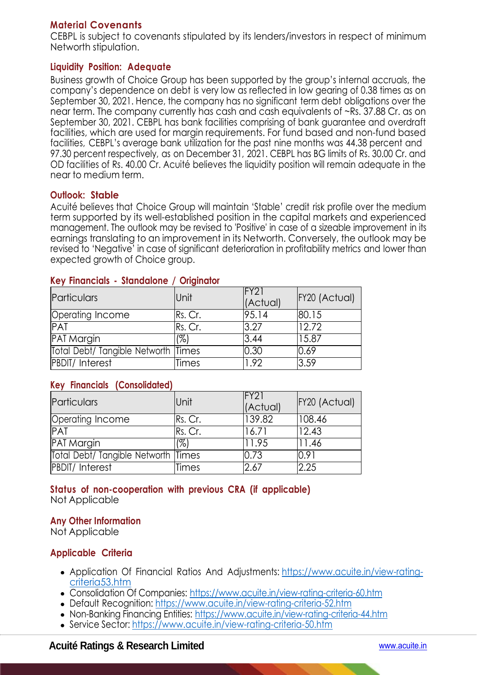# **Material Covenants**

CEBPL is subject to covenants stipulated by its lenders/investors in respect of minimum Networth stipulation.

## **Liquidity Position: Adequate**

Business growth of Choice Group has been supported by the group's internal accruals, the company's dependence on debt is very low as reflected in low gearing of 0.38 times as on September 30, 2021. Hence, the company has no significant term debt obligations over the near term. The company currently has cash and cash equivalents of ~Rs. 37.88 Cr. as on September 30, 2021. CEBPL has bank facilities comprising of bank guarantee and overdraft facilities, which are used for margin requirements. For fund based and non-fund based facilities, CEBPL's average bank utilization for the past nine months was 44.38 percent and 97.30 percent respectively, as on December 31, 2021. CEBPL has BG limits of Rs. 30.00 Cr. and OD facilities of Rs. 40.00 Cr. Acuité believes the liquidity position will remain adequate in the near to medium term.

## **Outlook: Stable**

Acuité believes that Choice Group will maintain 'Stable' credit risk profile over the medium term supported by its well-established position in the capital markets and experienced management. The outlook may be revised to 'Positive' in case of a sizeable improvement in its earnings translating to an improvement in its Networth. Conversely, the outlook may be revised to 'Negative' in case of significant deterioration in profitability metrics and lower than expected growth of Choice group.

| Particulars                         | <b>Unit</b> | FY21<br>(Actual) | FY20 (Actual) |
|-------------------------------------|-------------|------------------|---------------|
| Operating Income                    | Rs. Cr.     | 95.14            | 80.15         |
| <b>PAT</b>                          | Rs. Cr.     | 3.27             | 12.72         |
| <b>PAT Margin</b>                   | (%)         | 3.44             | 15.87         |
| Total Debt/ Tangible Networth Times |             | 0.30             | 0.69          |
| <b>PBDIT/Interest</b>               | Times       | 1.92             | 3.59          |

## **Key Financials - Standalone / Originator**

## **Key Financials (Consolidated)**

| Particulars                         | <b>Unit</b> | FY21<br>(Actual) | FY20 (Actual) |
|-------------------------------------|-------------|------------------|---------------|
| Operating Income                    | Rs. Cr.     | 139.82           | 108.46        |
| <b>PAT</b>                          | Rs. Cr.     | 16.71            | 12.43         |
| <b>PAT Margin</b>                   | (%)         | 11.95            | 11.46         |
| Total Debt/ Tangible Networth Times |             | 0.73             | 0.91          |
| <b>PBDIT/Interest</b>               | Times       | 2.67             | 2.25          |

#### **Status of non-cooperation with previous CRA (if applicable)**  Not Applicable

# **Any Other Information**

Not Applicable

# **Applicable Criteria**

- Application Of Financial Ratios And Adjustments: https://www.acuite.in/view-ratingcriteria53.htm
- Consolidation Of Companies: https://www.acuite.in/view-rating-criteria-60.htm
- Default Recognition: https://www.acuite.in/view-rating-criteria-52.htm
- Non-Banking Financing Entities: https://www.acuite.in/view-rating-criteria-44.htm
- Service Sector: https://www.acuite.in/view-rating-criteria-50.htm

# **Acuité Ratings & Research Limited** www.acuite.in

×.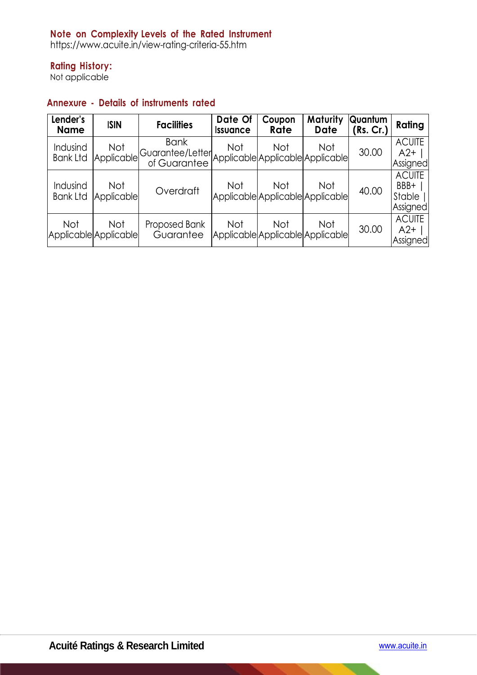# **Note on Complexity Levels of the Rated Instrument**

https://www.acuite.in/view-rating-criteria-55.htm

# **Rating History:**

Not applicable

## **Annexure - Details of instruments rated**

| Lender's<br><b>Name</b>             | <b>ISIN</b>              | <b>Facilities</b>                               | Date Of<br><b>Issuance</b> | Coupon<br>Rate                                 | Maturity<br>Date | Quantum<br>(Rs. Cr.) | Rating                                      |
|-------------------------------------|--------------------------|-------------------------------------------------|----------------------------|------------------------------------------------|------------------|----------------------|---------------------------------------------|
| Indusind<br><b>Bank Ltd</b>         | <b>Not</b><br>Applicable | <b>Bank</b><br>Guarantee/Letter<br>of Guarantee | <b>Not</b>                 | <b>Not</b><br>Applicable Applicable Applicable | Not              | 30.00                | <b>ACUITE</b><br>$A2+$<br>Assigned          |
| Indusind<br><b>Bank Ltd</b>         | <b>Not</b><br>Applicable | Overdraft                                       | <b>Not</b>                 | Not<br>Applicable Applicable Applicable        | Not              | 40.00                | <b>ACUITE</b><br>BBB+<br>Stable<br>Assigned |
| <b>Not</b><br>Applicable Applicable | <b>Not</b>               | Proposed Bank<br>Guarantee                      | <b>Not</b>                 | <b>Not</b><br>Applicable Applicable Applicable | Not              | 30.00                | <b>ACUITE</b><br>$A2+$<br>Assigned          |